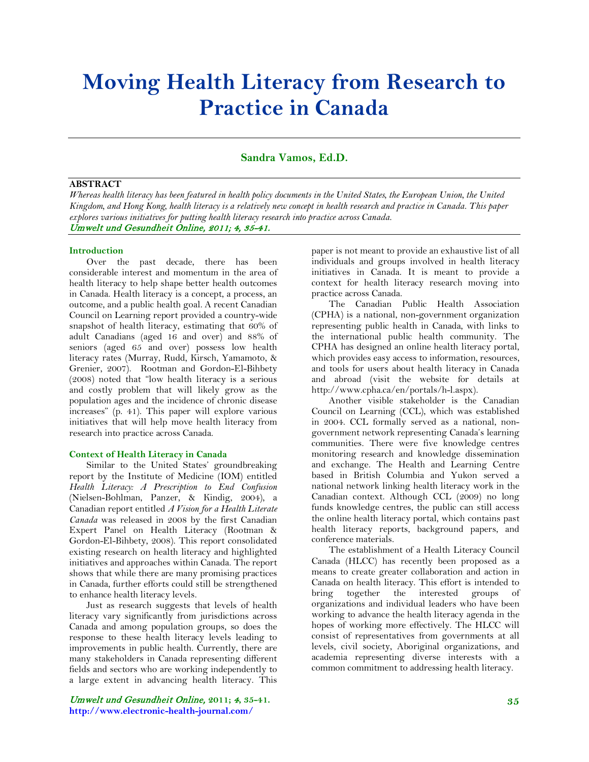# **Moving Health Literacy from Research to Practice in Canada**

## **Sandra Vamos, Ed.D.**

#### **ABSTRACT**

*Whereas health literacy has been featured in health policy documents in the United States, the European Union, the United Kingdom, and Hong Kong, health literacy is a relatively new concept in health research and practice in Canada. This paper explores various initiatives for putting health literacy research into practice across Canada.* Umwelt und Gesundheit Online, 2011; 4, 35-41.

#### **Introduction**

Over the past decade, there has been considerable interest and momentum in the area of health literacy to help shape better health outcomes in Canada. Health literacy is a concept, a process, an outcome, and a public health goal. A recent Canadian Council on Learning report provided a country-wide snapshot of health literacy, estimating that 60% of adult Canadians (aged 16 and over) and 88% of seniors (aged 65 and over) possess low health literacy rates (Murray, Rudd, Kirsch, Yamamoto, & Grenier, 2007). Rootman and Gordon-El-Bihbety (2008) noted that "low health literacy is a serious and costly problem that will likely grow as the population ages and the incidence of chronic disease increases" (p. 41). This paper will explore various initiatives that will help move health literacy from research into practice across Canada.

#### **Context of Health Literacy in Canada**

Similar to the United States' groundbreaking report by the Institute of Medicine (IOM) entitled *Health Literacy: A Prescription to End Confusion*  (Nielsen-Bohlman, Panzer, & Kindig, 2004)*,* a Canadian report entitled *A Vision for a Health Literate Canada* was released in 2008 by the first Canadian Expert Panel on Health Literacy (Rootman & Gordon-El-Bihbety, 2008). This report consolidated existing research on health literacy and highlighted initiatives and approaches within Canada. The report shows that while there are many promising practices in Canada, further efforts could still be strengthened to enhance health literacy levels.

Just as research suggests that levels of health literacy vary significantly from jurisdictions across Canada and among population groups, so does the response to these health literacy levels leading to improvements in public health. Currently, there are many stakeholders in Canada representing different fields and sectors who are working independently to a large extent in advancing health literacy. This

Umwelt und Gesundheit Online, **2011;** 4**, 35-41. http://www.electronic-health-journal.com/**

paper is not meant to provide an exhaustive list of all individuals and groups involved in health literacy initiatives in Canada. It is meant to provide a context for health literacy research moving into practice across Canada.

The Canadian Public Health Association (CPHA) is a national, non-government organization representing public health in Canada, with links to the international public health community. The CPHA has designed an online health literacy portal, which provides easy access to information, resources, and tools for users about health literacy in Canada and abroad (visit the website for details at http://www.cpha.ca/en/portals/h-l.aspx).

Another visible stakeholder is the Canadian Council on Learning (CCL), which was established in 2004. CCL formally served as a national, nongovernment network representing Canada's learning communities. There were five knowledge centres monitoring research and knowledge dissemination and exchange. The Health and Learning Centre based in British Columbia and Yukon served a national network linking health literacy work in the Canadian context. Although CCL (2009) no long funds knowledge centres, the public can still access the online health literacy portal, which contains past health literacy reports, background papers, and conference materials.

The establishment of a Health Literacy Council Canada (HLCC) has recently been proposed as a means to create greater collaboration and action in Canada on health literacy. This effort is intended to bring together the interested groups of organizations and individual leaders who have been working to advance the health literacy agenda in the hopes of working more effectively. The HLCC will consist of representatives from governments at all levels, civil society, Aboriginal organizations, and academia representing diverse interests with a common commitment to addressing health literacy.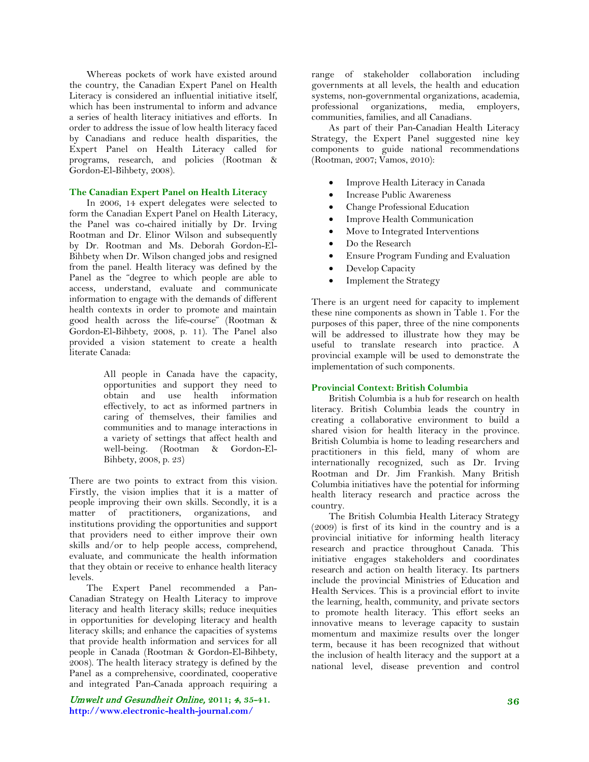Whereas pockets of work have existed around the country, the Canadian Expert Panel on Health Literacy is considered an influential initiative itself, which has been instrumental to inform and advance a series of health literacy initiatives and efforts. In order to address the issue of low health literacy faced by Canadians and reduce health disparities, the Expert Panel on Health Literacy called for programs, research, and policies (Rootman & Gordon-El-Bihbety, 2008).

#### **The Canadian Expert Panel on Health Literacy**

In 2006, 14 expert delegates were selected to form the Canadian Expert Panel on Health Literacy, the Panel was co-chaired initially by Dr. Irving Rootman and Dr. Elinor Wilson and subsequently by Dr. Rootman and Ms. Deborah Gordon-El-Bihbety when Dr. Wilson changed jobs and resigned from the panel. Health literacy was defined by the Panel as the "degree to which people are able to access, understand, evaluate and communicate information to engage with the demands of different health contexts in order to promote and maintain good health across the life-course" (Rootman & Gordon-El-Bihbety, 2008, p. 11). The Panel also provided a vision statement to create a health literate Canada:

> All people in Canada have the capacity, opportunities and support they need to obtain and use health information effectively, to act as informed partners in caring of themselves, their families and communities and to manage interactions in a variety of settings that affect health and well-being. (Rootman & Gordon-El-Bihbety, 2008, p. 23)

There are two points to extract from this vision. Firstly, the vision implies that it is a matter of people improving their own skills. Secondly, it is a matter of practitioners, organizations, and institutions providing the opportunities and support that providers need to either improve their own skills and/or to help people access, comprehend, evaluate, and communicate the health information that they obtain or receive to enhance health literacy levels.

The Expert Panel recommended a Pan-Canadian Strategy on Health Literacy to improve literacy and health literacy skills; reduce inequities in opportunities for developing literacy and health literacy skills; and enhance the capacities of systems that provide health information and services for all people in Canada (Rootman & Gordon-El-Bihbety, 2008). The health literacy strategy is defined by the Panel as a comprehensive, coordinated, cooperative and integrated Pan-Canada approach requiring a

Umwelt und Gesundheit Online, **2011;** 4**, 35-41. http://www.electronic-health-journal.com/**

range of stakeholder collaboration including governments at all levels, the health and education systems, non-governmental organizations, academia, professional organizations, media, employers, communities, families, and all Canadians.

As part of their Pan-Canadian Health Literacy Strategy, the Expert Panel suggested nine key components to guide national recommendations (Rootman, 2007; Vamos, 2010):

- Improve Health Literacy in Canada
- Increase Public Awareness
- Change Professional Education
- Improve Health Communication
- Move to Integrated Interventions
- Do the Research
- Ensure Program Funding and Evaluation
- Develop Capacity
- Implement the Strategy

There is an urgent need for capacity to implement these nine components as shown in Table 1. For the purposes of this paper, three of the nine components will be addressed to illustrate how they may be useful to translate research into practice. A provincial example will be used to demonstrate the implementation of such components.

# **Provincial Context: British Columbia**

British Columbia is a hub for research on health literacy. British Columbia leads the country in creating a collaborative environment to build a shared vision for health literacy in the province. British Columbia is home to leading researchers and practitioners in this field, many of whom are internationally recognized, such as Dr. Irving Rootman and Dr. Jim Frankish. Many British Columbia initiatives have the potential for informing health literacy research and practice across the country.

The British Columbia Health Literacy Strategy (2009) is first of its kind in the country and is a provincial initiative for informing health literacy research and practice throughout Canada. This initiative engages stakeholders and coordinates research and action on health literacy. Its partners include the provincial Ministries of Education and Health Services. This is a provincial effort to invite the learning, health, community, and private sectors to promote health literacy. This effort seeks an innovative means to leverage capacity to sustain momentum and maximize results over the longer term, because it has been recognized that without the inclusion of health literacy and the support at a national level, disease prevention and control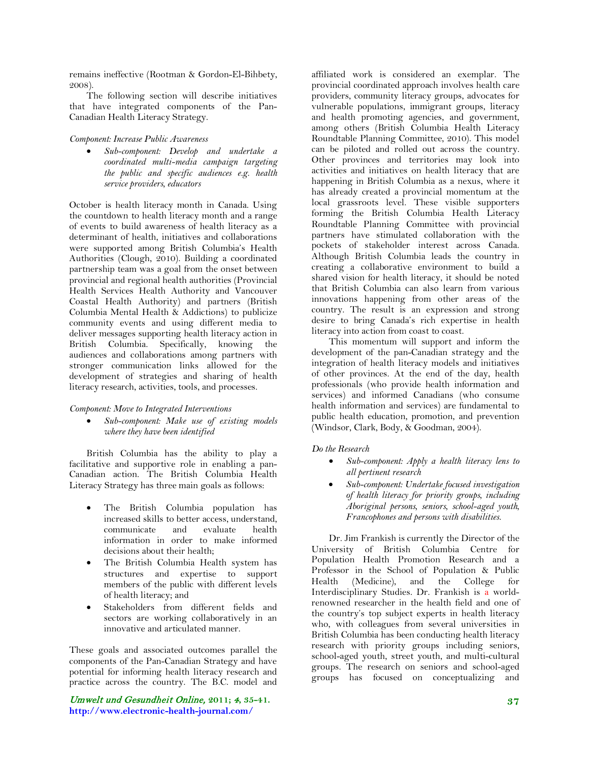remains ineffective (Rootman & Gordon-El-Bihbety, 2008).

The following section will describe initiatives that have integrated components of the Pan-Canadian Health Literacy Strategy.

#### *Component: Increase Public Awareness*

• *Sub-component: Develop and undertake a coordinated multi-media campaign targeting the public and specific audiences e.g. health service providers, educators*

October is health literacy month in Canada. Using the countdown to health literacy month and a range of events to build awareness of health literacy as a determinant of health, initiatives and collaborations were supported among British Columbia's Health Authorities (Clough, 2010). Building a coordinated partnership team was a goal from the onset between provincial and regional health authorities (Provincial Health Services Health Authority and Vancouver Coastal Health Authority) and partners (British Columbia Mental Health & Addictions) to publicize community events and using different media to deliver messages supporting health literacy action in British Columbia. Specifically, knowing the audiences and collaborations among partners with stronger communication links allowed for the development of strategies and sharing of health literacy research, activities, tools, and processes.

#### *Component: Move to Integrated Interventions*

• *Sub-component: Make use of existing models where they have been identified*

British Columbia has the ability to play a facilitative and supportive role in enabling a pan-Canadian action. The British Columbia Health Literacy Strategy has three main goals as follows:

- The British Columbia population has increased skills to better access, understand, communicate and evaluate health information in order to make informed decisions about their health;
- The British Columbia Health system has structures and expertise to support members of the public with different levels of health literacy; and
- Stakeholders from different fields and sectors are working collaboratively in an innovative and articulated manner.

These goals and associated outcomes parallel the components of the Pan-Canadian Strategy and have potential for informing health literacy research and practice across the country. The B.C. model and

Umwelt und Gesundheit Online, **2011;** 4**, 35-41. http://www.electronic-health-journal.com/**

affiliated work is considered an exemplar. The provincial coordinated approach involves health care providers, community literacy groups, advocates for vulnerable populations, immigrant groups, literacy and health promoting agencies, and government, among others (British Columbia Health Literacy Roundtable Planning Committee, 2010). This model can be piloted and rolled out across the country. Other provinces and territories may look into activities and initiatives on health literacy that are happening in British Columbia as a nexus, where it has already created a provincial momentum at the local grassroots level. These visible supporters forming the British Columbia Health Literacy Roundtable Planning Committee with provincial partners have stimulated collaboration with the pockets of stakeholder interest across Canada. Although British Columbia leads the country in creating a collaborative environment to build a shared vision for health literacy, it should be noted that British Columbia can also learn from various innovations happening from other areas of the country. The result is an expression and strong desire to bring Canada's rich expertise in health literacy into action from coast to coast.

This momentum will support and inform the development of the pan-Canadian strategy and the integration of health literacy models and initiatives of other provinces. At the end of the day, health professionals (who provide health information and services) and informed Canadians (who consume health information and services) are fundamental to public health education, promotion, and prevention (Windsor, Clark, Body, & Goodman, 2004).

#### *Do the Research*

- *Sub-component: Apply a health literacy lens to all pertinent research*
- *Sub-component: Undertake focused investigation of health literacy for priority groups, including Aboriginal persons, seniors, school-aged youth, Francophones and persons with disabilities.*

Dr. Jim Frankish is currently the Director of the University of British Columbia Centre for Population Health Promotion Research and a Professor in the School of Population & Public Health (Medicine), and the College for Interdisciplinary Studies. Dr. Frankish is a worldrenowned researcher in the health field and one of the country's top subject experts in health literacy who, with colleagues from several universities in British Columbia has been conducting health literacy research with priority groups including seniors, school-aged youth, street youth, and multi-cultural groups. The research on seniors and school-aged groups has focused on conceptualizing and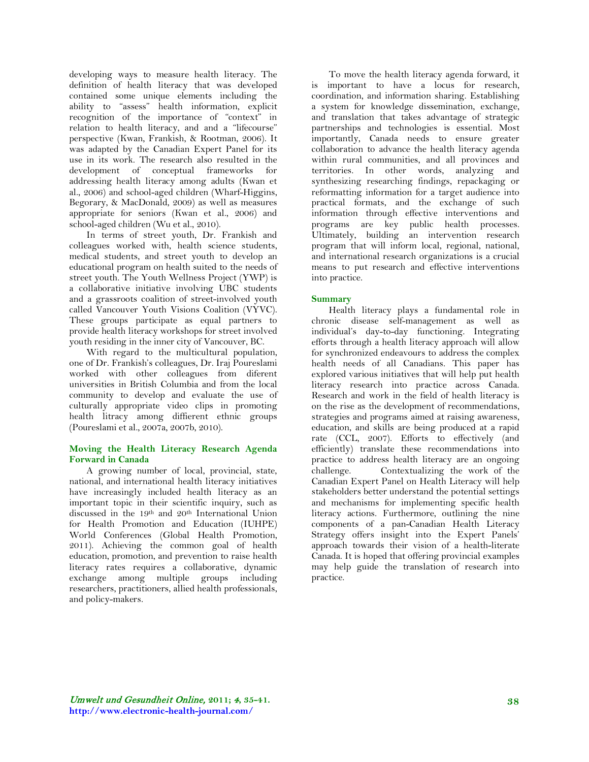developing ways to measure health literacy. The definition of health literacy that was developed contained some unique elements including the ability to "assess" health information, explicit recognition of the importance of "context" in relation to health literacy, and and a "lifecourse" perspective (Kwan, Frankish, & Rootman, 2006). It was adapted by the Canadian Expert Panel for its use in its work. The research also resulted in the development of conceptual frameworks for addressing health literacy among adults (Kwan et al., 2006) and school-aged children (Wharf-Higgins, Begorary, & MacDonald, 2009) as well as measures appropriate for seniors (Kwan et al., 2006) and school-aged children (Wu et al., 2010).

In terms of street youth, Dr. Frankish and colleagues worked with, health science students, medical students, and street youth to develop an educational program on health suited to the needs of street youth. The Youth Wellness Project (YWP) is a collaborative initiative involving UBC students and a grassroots coalition of street-involved youth called Vancouver Youth Visions Coalition (VYVC). These groups participate as equal partners to provide health literacy workshops for street involved youth residing in the inner city of Vancouver, BC.

With regard to the multicultural population, one of Dr. Frankish's colleagues, Dr. Iraj Poureslami worked with other colleagues from diferent universities in British Columbia and from the local community to develop and evaluate the use of culturally appropriate video clips in promoting health litracy among diffierent ethnic groups (Poureslami et al., 2007a, 2007b, 2010).

### **Moving the Health Literacy Research Agenda Forward in Canada**

A growing number of local, provincial, state, national, and international health literacy initiatives have increasingly included health literacy as an important topic in their scientific inquiry, such as discussed in the 19th and 20th International Union for Health Promotion and Education (IUHPE) World Conferences (Global Health Promotion, 2011). Achieving the common goal of health education, promotion, and prevention to raise health literacy rates requires a collaborative, dynamic exchange among multiple groups including researchers, practitioners, allied health professionals, and policy-makers.

To move the health literacy agenda forward, it is important to have a locus for research, coordination, and information sharing. Establishing a system for knowledge dissemination, exchange, and translation that takes advantage of strategic partnerships and technologies is essential. Most importantly, Canada needs to ensure greater collaboration to advance the health literacy agenda within rural communities, and all provinces and territories. In other words, analyzing and synthesizing researching findings, repackaging or reformatting information for a target audience into practical formats, and the exchange of such information through effective interventions and programs are key public health processes. Ultimately, building an intervention research program that will inform local, regional, national, and international research organizations is a crucial means to put research and effective interventions into practice.

# **Summary**

Health literacy plays a fundamental role in chronic disease self-management as well as individual's day-to-day functioning. Integrating efforts through a health literacy approach will allow for synchronized endeavours to address the complex health needs of all Canadians. This paper has explored various initiatives that will help put health literacy research into practice across Canada. Research and work in the field of health literacy is on the rise as the development of recommendations, strategies and programs aimed at raising awareness, education, and skills are being produced at a rapid rate (CCL, 2007). Efforts to effectively (and efficiently) translate these recommendations into practice to address health literacy are an ongoing challenge. Contextualizing the work of the Canadian Expert Panel on Health Literacy will help stakeholders better understand the potential settings and mechanisms for implementing specific health literacy actions. Furthermore, outlining the nine components of a pan-Canadian Health Literacy Strategy offers insight into the Expert Panels' approach towards their vision of a health-literate Canada. It is hoped that offering provincial examples may help guide the translation of research into practice.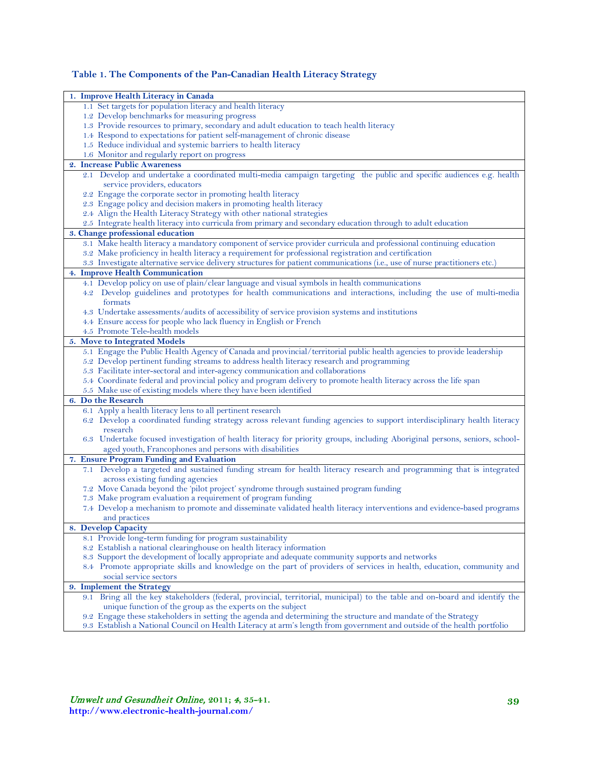# **Table 1. The Components of the Pan-Canadian Health Literacy Strategy**

| 1. Improve Health Literacy in Canada                                                                                                                                                                                                     |
|------------------------------------------------------------------------------------------------------------------------------------------------------------------------------------------------------------------------------------------|
| 1.1 Set targets for population literacy and health literacy                                                                                                                                                                              |
| 1.2 Develop benchmarks for measuring progress                                                                                                                                                                                            |
| 1.3 Provide resources to primary, secondary and adult education to teach health literacy                                                                                                                                                 |
| 1.4 Respond to expectations for patient self-management of chronic disease                                                                                                                                                               |
| 1.5 Reduce individual and systemic barriers to health literacy                                                                                                                                                                           |
| 1.6 Monitor and regularly report on progress                                                                                                                                                                                             |
| 2. Increase Public Awareness                                                                                                                                                                                                             |
| 2.1 Develop and undertake a coordinated multi-media campaign targeting the public and specific audiences e.g. health                                                                                                                     |
| service providers, educators                                                                                                                                                                                                             |
| 2.2 Engage the corporate sector in promoting health literacy                                                                                                                                                                             |
| 2.3 Engage policy and decision makers in promoting health literacy                                                                                                                                                                       |
| 2.4 Align the Health Literacy Strategy with other national strategies                                                                                                                                                                    |
| 2.5 Integrate health literacy into curricula from primary and secondary education through to adult education                                                                                                                             |
| 3. Change professional education                                                                                                                                                                                                         |
| 3.1 Make health literacy a mandatory component of service provider curricula and professional continuing education                                                                                                                       |
| 3.2 Make proficiency in health literacy a requirement for professional registration and certification                                                                                                                                    |
| 3.3 Investigate alternative service delivery structures for patient communications (i.e., use of nurse practitioners etc.)                                                                                                               |
| 4. Improve Health Communication                                                                                                                                                                                                          |
| 4.1 Develop policy on use of plain/clear language and visual symbols in health communications                                                                                                                                            |
| 4.2 Develop guidelines and prototypes for health communications and interactions, including the use of multi-media                                                                                                                       |
| formats                                                                                                                                                                                                                                  |
| 4.3 Undertake assessments/audits of accessibility of service provision systems and institutions                                                                                                                                          |
| 4.4 Ensure access for people who lack fluency in English or French<br>4.5 Promote Tele-health models                                                                                                                                     |
|                                                                                                                                                                                                                                          |
| 5. Move to Integrated Models<br>5.1 Engage the Public Health Agency of Canada and provincial/territorial public health agencies to provide leadership                                                                                    |
| 5.2 Develop pertinent funding streams to address health literacy research and programming                                                                                                                                                |
| 5.3 Facilitate inter-sectoral and inter-agency communication and collaborations                                                                                                                                                          |
| 5.4 Coordinate federal and provincial policy and program delivery to promote health literacy across the life span                                                                                                                        |
| 5.5 Make use of existing models where they have been identified                                                                                                                                                                          |
| 6. Do the Research                                                                                                                                                                                                                       |
| 6.1 Apply a health literacy lens to all pertinent research                                                                                                                                                                               |
| 6.2 Develop a coordinated funding strategy across relevant funding agencies to support interdisciplinary health literacy                                                                                                                 |
| research                                                                                                                                                                                                                                 |
| 6.3 Undertake focused investigation of health literacy for priority groups, including Aboriginal persons, seniors, school-                                                                                                               |
| aged youth, Francophones and persons with disabilities                                                                                                                                                                                   |
| 7. Ensure Program Funding and Evaluation                                                                                                                                                                                                 |
| 7.1 Develop a targeted and sustained funding stream for health literacy research and programming that is integrated                                                                                                                      |
| across existing funding agencies                                                                                                                                                                                                         |
| 7.2 Move Canada beyond the 'pilot project' syndrome through sustained program funding                                                                                                                                                    |
| 7.3 Make program evaluation a requirement of program funding                                                                                                                                                                             |
| 7.4 Develop a mechanism to promote and disseminate validated health literacy interventions and evidence-based programs                                                                                                                   |
| and practices                                                                                                                                                                                                                            |
| 8. Develop Capacity                                                                                                                                                                                                                      |
| 8.1 Provide long-term funding for program sustainability                                                                                                                                                                                 |
| 8.2 Establish a national clearinghouse on health literacy information                                                                                                                                                                    |
| 8.3 Support the development of locally appropriate and adequate community supports and networks                                                                                                                                          |
| 8.4 Promote appropriate skills and knowledge on the part of providers of services in health, education, community and                                                                                                                    |
| social service sectors                                                                                                                                                                                                                   |
| <b>Implement the Strategy</b><br>9.                                                                                                                                                                                                      |
| 9.1 Bring all the key stakeholders (federal, provincial, territorial, municipal) to the table and on-board and identify the                                                                                                              |
| unique function of the group as the experts on the subject                                                                                                                                                                               |
| 9.2 Engage these stakeholders in setting the agenda and determining the structure and mandate of the Strategy<br>9.3 Establish a National Council on Health Literacy at arm's length from government and outside of the health portfolio |
|                                                                                                                                                                                                                                          |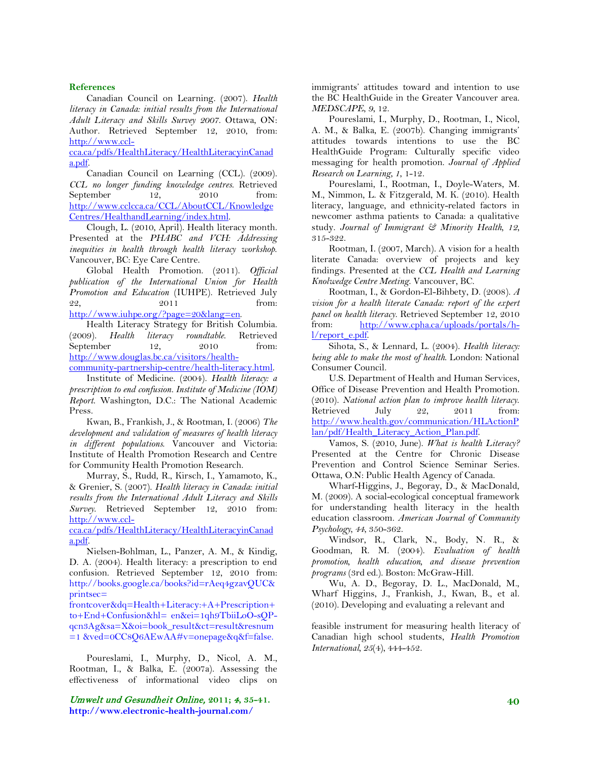#### **References**

Canadian Council on Learning. (2007). *Health literacy in Canada: initial results from the International Adult Literacy and Skills Survey 2007*. Ottawa, ON: Author. Retrieved September 12, 2010, from: [http://www.ccl-](http://www.ccl-cca.ca/pdfs/HealthLiteracy/HealthLiteracyinCanada.pdf)

[cca.ca/pdfs/HealthLiteracy/HealthLiteracyinCanad](http://www.ccl-cca.ca/pdfs/HealthLiteracy/HealthLiteracyinCanada.pdf) [a.pdf.](http://www.ccl-cca.ca/pdfs/HealthLiteracy/HealthLiteracyinCanada.pdf)

Canadian Council on Learning (CCL). (2009). *CCL no longer funding knowledge centres*. Retrieved September 12, 2010 from: [http://www.cclcca.ca/CCL/AboutCCL/Knowledge](http://www.cclcca.ca/CCL/AboutCCL/KnowledgeCentres/HealthandLearning/index.html) [Centres/HealthandLearning/index.html.](http://www.cclcca.ca/CCL/AboutCCL/KnowledgeCentres/HealthandLearning/index.html)

Clough, L. (2010, April). Health literacy month. Presented at the *PHABC and VCH: Addressing inequities in health through health literacy workshop*. Vancouver, BC: Eye Care Centre.

Global Health Promotion. (2011). *Official publication of the International Union for Health Promotion and Education* (IUHPE). Retrieved July 22, 2011 from: [http://www.iuhpe.org/?page=20&lang=en.](http://www.iuhpe.org/?page=20&lang=en)

Health Literacy Strategy for British Columbia. (2009). *Health literacy roundtable*. Retrieved September 12, 2010 from: [http://www.douglas.bc.ca/visitors/health-](http://www.douglas.bc.ca/visitors/health-community-partnership-centre/health-literacy.html)

[community-partnership-centre/health-literacy.html.](http://www.douglas.bc.ca/visitors/health-community-partnership-centre/health-literacy.html)

Institute of Medicine. (2004). *Health literacy: a prescription to end confusion. Institute of Medicine (IOM) Report*. Washington, D.C.: The National Academic Press.

Kwan, B., Frankish, J., & Rootman, I. (2006) *The development and validation of measures of health literacy in different populations*. Vancouver and Victoria: Institute of Health Promotion Research and Centre for Community Health Promotion Research.

Murray, S., Rudd, R., Kirsch, I., Yamamoto, K., & Grenier, S. (2007). *Health literacy in Canada: initial results from the International Adult Literacy and Skills Survey*. Retrieved September 12, 2010 from: [http://www.ccl-](http://www.ccl-cca.ca/pdfs/HealthLiteracy/HealthLiteracyinCanada.pdf)

[cca.ca/pdfs/HealthLiteracy/HealthLiteracyinCanad](http://www.ccl-cca.ca/pdfs/HealthLiteracy/HealthLiteracyinCanada.pdf) [a.pdf.](http://www.ccl-cca.ca/pdfs/HealthLiteracy/HealthLiteracyinCanada.pdf)

Nielsen-Bohlman, L., Panzer, A. M., & Kindig, D. A. (2004). Health literacy: a prescription to end confusion. Retrieved September 12, 2010 from: http://books.google.ca/books?id=rAeq4gzavQUC& printsec=

frontcover&dq=Health+Literacy:+A+Prescription+ to+End+Confusion&hl= en&ei=1qh9TbiiLoO-sQPqcn3Ag&sa=X&oi=book\_result&ct=result&resnum =1 &ved=0CC8Q6AEwAA#v=onepage&q&f=false.

Poureslami, I., Murphy, D., Nicol, A. M., Rootman, I., & Balka, E. (2007a). Assessing the effectiveness of informational video clips on

Umwelt und Gesundheit Online, **2011;** 4**, 35-41. http://www.electronic-health-journal.com/**

immigrants' attitudes toward and intention to use the BC HealthGuide in the Greater Vancouver area. *MEDSCAPE*, *9*, 12.

Poureslami, I., Murphy, D., Rootman, I., Nicol, A. M., & Balka, E. (2007b). Changing immigrants' attitudes towards intentions to use the BC HealthGuide Program: Culturally specific video messaging for health promotion. *Journal of Applied Research on Learning*, *1*, 1-12.

Poureslami, I., Rootman, I.*,* Doyle-Waters, M. M., Nimmon, L. & Fitzgerald, M. K. (2010). Health literacy, language, and ethnicity-related factors in newcomer asthma patients to Canada: a qualitative study. *Journal of Immigrant & Minority Health, 12,* 315-322.

Rootman, I. (2007, March). A vision for a health literate Canada: overview of projects and key findings. Presented at the *CCL Health and Learning Knolwedge Centre Meeting*. Vancouver, BC.

Rootman, I., & Gordon-El-Bihbety, D. (2008). *A vision for a health literate Canada: report of the expert panel on health literacy*. Retrieved September 12, 2010 from: [http://www.cpha.ca/uploads/portals/h](http://www.cpha.ca/uploads/portals/h-l/report_e.pdf)[l/report\\_e.pdf.](http://www.cpha.ca/uploads/portals/h-l/report_e.pdf)

Sihota, S., & Lennard, L. (2004). *Health literacy: being able to make the most of health*. London: National Consumer Council.

U.S. Department of Health and Human Services, Office of Disease Prevention and Health Promotion. (2010). *National action plan to improve health literacy*. Retrieved July 22, 2011 from: [http://www.health.gov/communication/HLActionP](http://www.health.gov/communication/HLActionPlan/pdf/Health_Literacy_Action_Plan.pdf) [lan/pdf/Health\\_Literacy\\_Action\\_Plan.pdf.](http://www.health.gov/communication/HLActionPlan/pdf/Health_Literacy_Action_Plan.pdf)

Vamos, S. (2010, June). *What is health Literacy?* Presented at the Centre for Chronic Disease Prevention and Control Science Seminar Series. Ottawa, O.N: Public Health Agency of Canada.

Wharf-Higgins, J., Begoray, D., & MacDonald, M. (2009). A social-ecological conceptual framework for understanding health literacy in the health education classroom. *American Journal of Community Psychology, 44*, 350-362.

Windsor, R., Clark, N., Body, N. R., & Goodman, R. M. (2004). *Evaluation of health promotion, health education, and disease prevention programs* (3rd ed.). Boston: McGraw-Hill.

Wu, A. D., Begoray, D. L., MacDonald, M., Wharf Higgins, J., Frankish, J., Kwan, B., et al. (2010). Developing and evaluating a relevant and

feasible instrument for measuring health literacy of Canadian high school students, *Health Promotion International, 25*(4), 444-452.